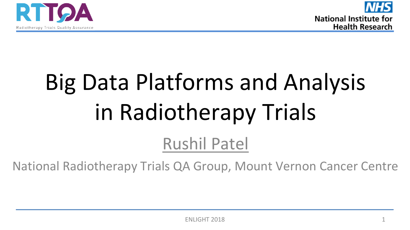



# Big Data Platforms and Analysis in Radiotherapy Trials

#### Rushil Patel

National Radiotherapy Trials QA Group, Mount Vernon Cancer Centre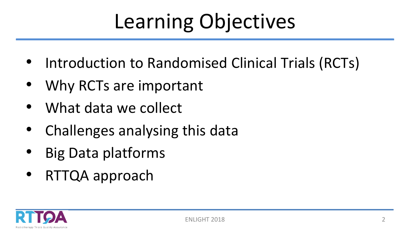## Learning Objectives

- Introduction to Randomised Clinical Trials (RCTs)
- Why RCTs are important
- What data we collect
- Challenges analysing this data
- Big Data platforms
- RTTQA approach

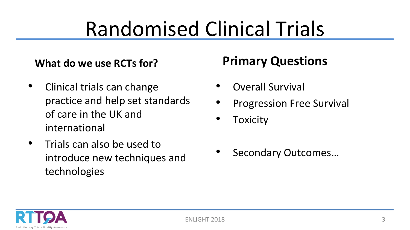### Randomised Clinical Trials

#### **What do we use RCTs for?**

- Clinical trials can change practice and help set standards of care in the UK and international
- Trials can also be used to introduce new techniques and technologies

#### **Primary Questions**

- Overall Survival
- Progression Free Survival
- Toxicity
- Secondary Outcomes…

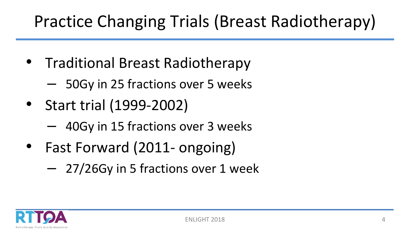#### Practice Changing Trials (Breast Radiotherapy)

- Traditional Breast Radiotherapy
	- 50Gy in 25 fractions over 5 weeks
- Start trial (1999-2002)
	- 40Gy in 15 fractions over 3 weeks
- Fast Forward (2011- ongoing)
	- 27/26Gy in 5 fractions over 1 week

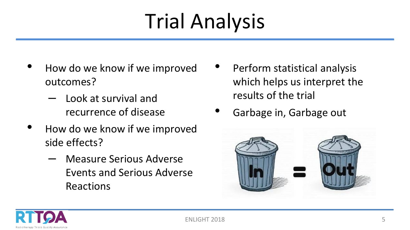## Trial Analysis

- How do we know if we improved outcomes?
	- Look at survival and recurrence of disease
- How do we know if we improved side effects?
	- Measure Serious Adverse Events and Serious Adverse Reactions
- Perform statistical analysis which helps us interpret the results of the trial
- Garbage in, Garbage out



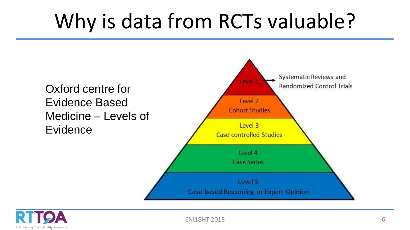#### Why is data from RCTs valuable?





ENLIGHT 2018 6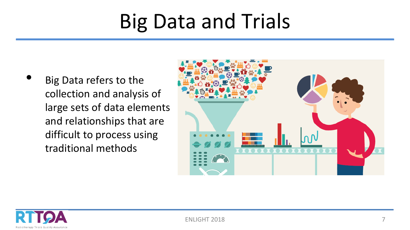#### Big Data and Trials

• Big Data refers to the collection and analysis of large sets of data elements and relationships that are difficult to process using traditional methods



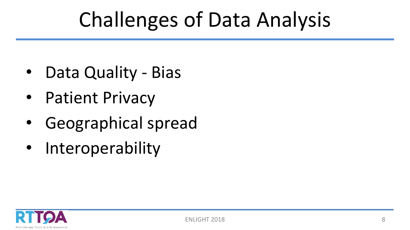### Challenges of Data Analysis

- Data Quality Bias
- Patient Privacy
- Geographical spread
- Interoperability

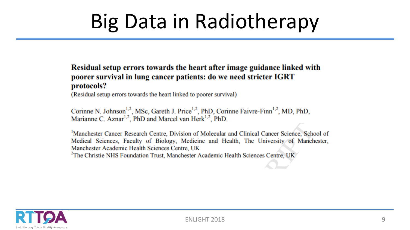### Big Data in Radiotherapy

#### Residual setup errors towards the heart after image guidance linked with poorer survival in lung cancer patients: do we need stricter IGRT protocols?

(Residual setup errors towards the heart linked to poorer survival)

Corinne N. Johnson<sup>1,2</sup>, MSc, Gareth J. Price<sup>1,2</sup>, PhD, Corinne Faivre-Finn<sup>1,2</sup>, MD, PhD, Marianne C. Aznar<sup>1,2</sup>, PhD and Marcel van Herk<sup>1,2</sup>, PhD.

<sup>1</sup>Manchester Cancer Research Centre, Division of Molecular and Clinical Cancer Science, School of Medical Sciences, Faculty of Biology, Medicine and Health, The University of Manchester, Manchester Academic Health Sciences Centre, UK <sup>2</sup>The Christie NHS Foundation Trust, Manchester Academic Health Sciences Centre, UK

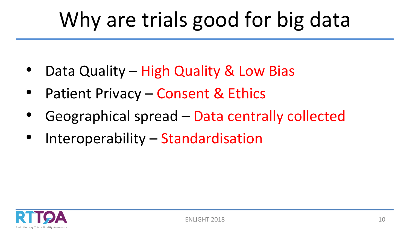### Why are trials good for big data

- Data Quality High Quality & Low Bias
- Patient Privacy Consent & Ethics
- Geographical spread Data centrally collected
- Interoperability Standardisation

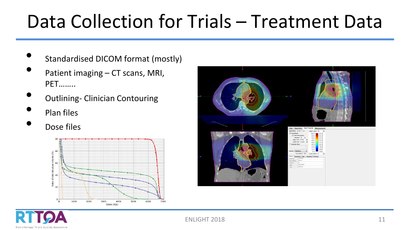#### Data Collection for Trials – Treatment Data

- Standardised DICOM format (mostly)
- Patient imaging CT scans, MRI, PET……..
- Outlining- Clinician Contouring
- Plan files
- Dose files





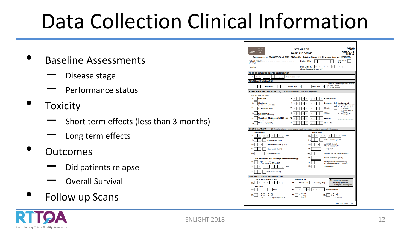## Data Collection Clinical Information

- Baseline Assessments
	- Disease stage
	- Performance status
- **Toxicity** 
	- Short term effects (less than 3 months)
	- Long term effects
- Outcomes
	- Did patients relapse
	- Overall Survival
- Follow up Scans

| Trials<br><b>MRC</b>                                                   | <b>STAMPEDE</b><br><b>BASELINE FORMS</b>                                                         | PR08<br><b>PR08 Form 2</b><br>Page 1/3                                                       |
|------------------------------------------------------------------------|--------------------------------------------------------------------------------------------------|----------------------------------------------------------------------------------------------|
|                                                                        | Please return to: STAMPEDE trial, MRC CTU at UCL, Aviation House, 125 Kingsway, London, WC2B 6NH |                                                                                              |
| (UK only)                                                              | Patient ID No:                                                                                   | Trial Arm:<br>44.0                                                                           |
|                                                                        | Date of Birth:<br>d<br>d<br>(Swiss sites complete year only)                                     |                                                                                              |
| <b>(i) To be completed prior to randomisation</b>                      |                                                                                                  |                                                                                              |
| ٠<br>A.<br>×<br>m                                                      | <b>Date of assessment</b>                                                                        |                                                                                              |
| PHYSICAL EXAMINATION                                                   |                                                                                                  |                                                                                              |
| $\overline{2}$<br>Height (cm)<br>3.                                    | <b>Weight (kg)</b><br>4<br>Waist (cm)<br>Б.                                                      | Is there pain from prostate cancer'<br>$0 = No$ , absent<br>$1 = Yes$ , present              |
| <b>BASELINE INVESTIGATIONS</b>                                         | (D) The trial requires either 6,12 or 14 to be performed                                         |                                                                                              |
| $(0 = Not done, 1 = Donel)$                                            |                                                                                                  |                                                                                              |
| <b>Bone scan</b><br>£.                                                 | <b>Bone scan date</b><br>Ż.                                                                      |                                                                                              |
| ×<br>Chest x-ray<br>(if not done, complete Q8a)                        | X-ray date                                                                                       | 8a. If chest x-ray not<br>performed. Give reason:                                            |
| 10.<br>CT abdomen/ pelvis                                              | 11<br><b>CT</b> date                                                                             | 1 = Chest included in<br>CT scan or<br>CT component of                                       |
| 12<br><b>Whole body MRI</b><br>equivalent to bone scan)                | 13<br><b>MRI</b> date                                                                            | PET scan<br>$2 =$ Other, specify:                                                            |
| Whole body CT component of PET scan<br>14<br>(equivalent to bone scan) | 15<br><b>PET</b> date                                                                            | .                                                                                            |
| Other scan, specify<br>16                                              | 17<br>Other date                                                                                 |                                                                                              |
| <b>BLOOD MARKERS</b>                                                   | (i) Pre-chemotherapy haematological results can be used in patients receiving SOC docetaxel      |                                                                                              |
| <b>Haematology</b>                                                     | <b>Biochemistry</b>                                                                              |                                                                                              |
| Date<br>18.<br>z                                                       | 23<br>A                                                                                          | Date                                                                                         |
| 19.<br>Haemoglobin (g/dl)                                              | 24                                                                                               | Total bilirubin (umol/i)                                                                     |
| 20<br>White blood count (x10 <sup>9</sup> /l)                          | 25.                                                                                              | AST/ALT "(units/I)<br>*Delete as applicable                                                  |
| 21.<br>Neutrophils (x10 <sup>9</sup> /l)                               | ALP (units/l)<br>26                                                                              |                                                                                              |
| 22<br>Platelets (x10 <sup>9</sup> /l)                                  | 26a                                                                                              | ULN for ALP for this test (units/l)                                                          |
| Was testosterone level checked prior to hormone therapy?               | 27.                                                                                              | Serum creatinine (umol/l)                                                                    |
| $0 = No,$ $Q = Q33$<br>30<br>Yes, complete Q31 and 32                  | 28.                                                                                              | GFR (ml/min/1.73m <sup>2</sup> or ml/min/)<br>GFR can be either eGFR or CrCl.                |
| 31.<br>Date<br>ń<br>m                                                  | 29<br>Albumin (g/l)                                                                              |                                                                                              |
| 32<br>Testosterone (nmol/l)                                            |                                                                                                  |                                                                                              |
| <b>DISEASE AT FIRST PRESENTATION</b>                                   |                                                                                                  |                                                                                              |
| Date of first diagnosis of PCa<br>d<br>d<br>33.                        | <b>Gleason score</b><br>34<br>Primary (1-5)<br>Secondary (1-5)                                   | <b>ID</b> Provide the primary and<br>secondary grades only.<br>Do not give a tertiary grade. |
| <b>PSA Value</b><br>35.<br>ng/ml                                       | d<br>m<br>36                                                                                     | Date of PSA test                                                                             |
| $0 - T0$<br>$3 - T3$                                                   | $0 = NO$<br>38.<br>N<br>39.<br>$1 - Ne$                                                          | $0 = M0$<br>м<br>$1 = M1$                                                                    |
| 37.<br>$1 = T1$<br>$4 = T4$<br>$2 = T2$<br>9 = TX (See appendix A)     | $Q = NX$                                                                                         | $9 =$ Unknown                                                                                |
|                                                                        |                                                                                                  | June 2017 Version 13.0                                                                       |

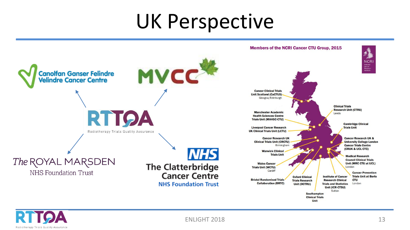#### UK Perspective





ENLIGHT 2018 13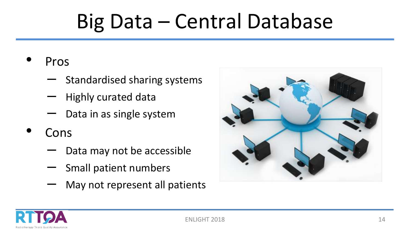### Big Data – Central Database

- Pros
	- Standardised sharing systems
	- Highly curated data
	- Data in as single system
- Cons
	- Data may not be accessible
	- Small patient numbers
	- May not represent all patients



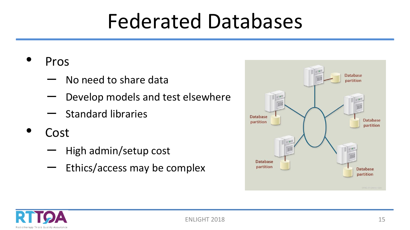#### Federated Databases

- Pros
	- No need to share data
	- Develop models and test elsewhere
	- Standard libraries
- **Cost** 
	- High admin/setup cost
	- Ethics/access may be complex



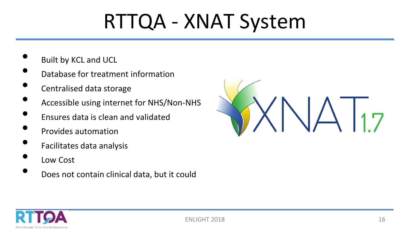### RTTQA - XNAT System

- Built by KCL and UCL
- Database for treatment information
- Centralised data storage
- Accessible using internet for NHS/Non-NHS
- Ensures data is clean and validated
- Provides automation
- Facilitates data analysis
- Low Cost
- Does not contain clinical data, but it could